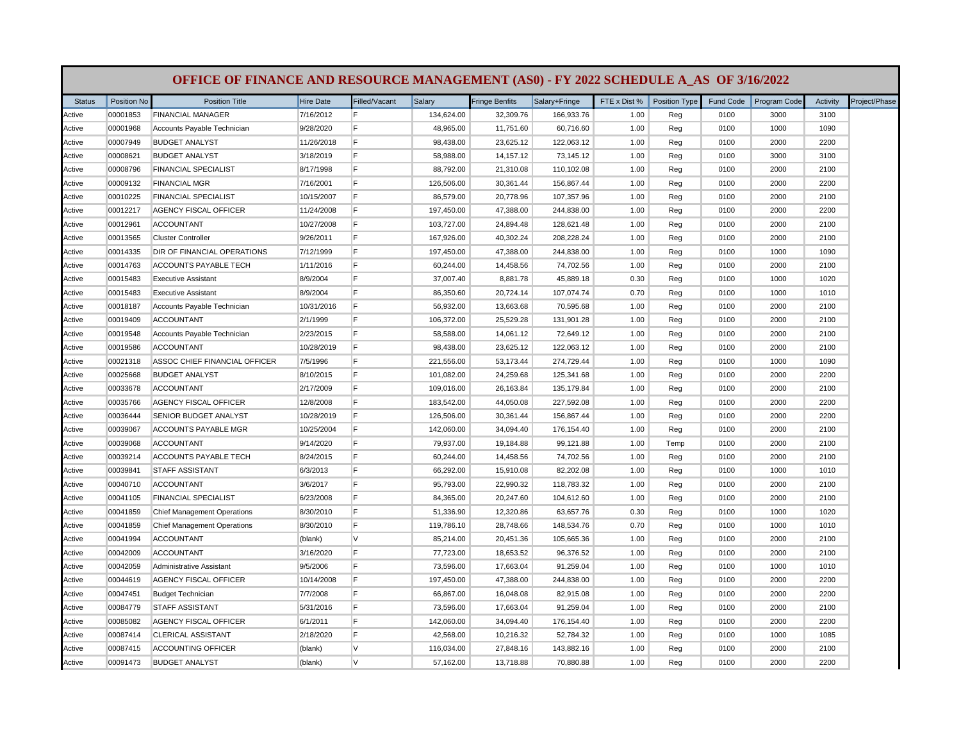| <b>Status</b> | Position No | <b>Position Title</b>              | <b>Hire Date</b> | Filled/Vacant | Salary     | <b>Fringe Benfits</b> | Salary+Fringe | FTE x Dist % | Position Type | Fund Code | Program Code | Activity | Project/Phase |
|---------------|-------------|------------------------------------|------------------|---------------|------------|-----------------------|---------------|--------------|---------------|-----------|--------------|----------|---------------|
| Active        | 00001853    | <b>FINANCIAL MANAGER</b>           | 7/16/2012        | F             | 134,624.00 | 32,309.76             | 166,933.76    | 1.00         | Reg           | 0100      | 3000         | 3100     |               |
| Active        | 00001968    | Accounts Payable Technician        | 9/28/2020        | F             | 48,965.00  | 11,751.60             | 60,716.60     | 1.00         | Reg           | 0100      | 1000         | 1090     |               |
| Active        | 00007949    | <b>BUDGET ANALYST</b>              | 11/26/2018       | F             | 98,438.00  | 23,625.12             | 122,063.12    | 1.00         | Reg           | 0100      | 2000         | 2200     |               |
| Active        | 00008621    | <b>BUDGET ANALYST</b>              | 3/18/2019        | E             | 58,988.00  | 14,157.12             | 73,145.12     | 1.00         | Reg           | 0100      | 3000         | 3100     |               |
| Active        | 00008796    | <b>FINANCIAL SPECIALIST</b>        | 8/17/1998        | E             | 88,792.00  | 21,310.08             | 110,102.08    | 1.00         | Reg           | 0100      | 2000         | 2100     |               |
| Active        | 00009132    | <b>FINANCIAL MGR</b>               | 7/16/2001        | F             | 126,506.00 | 30,361.44             | 156,867.44    | 1.00         | Reg           | 0100      | 2000         | 2200     |               |
| Active        | 00010225    | <b>FINANCIAL SPECIALIST</b>        | 10/15/2007       | E             | 86,579.00  | 20,778.96             | 107,357.96    | 1.00         | Reg           | 0100      | 2000         | 2100     |               |
| Active        | 00012217    | AGENCY FISCAL OFFICER              | 11/24/2008       | E             | 197,450.00 | 47,388.00             | 244,838.00    | 1.00         | Reg           | 0100      | 2000         | 2200     |               |
| Active        | 00012961    | <b>ACCOUNTANT</b>                  | 10/27/2008       | E             | 103,727.00 | 24,894.48             | 128,621.48    | 1.00         | Reg           | 0100      | 2000         | 2100     |               |
| Active        | 00013565    | <b>Cluster Controller</b>          | 9/26/2011        | E             | 167,926.00 | 40,302.24             | 208,228.24    | 1.00         | Reg           | 0100      | 2000         | 2100     |               |
| Active        | 00014335    | DIR OF FINANCIAL OPERATIONS        | 7/12/1999        | E             | 197,450.00 | 47,388.00             | 244,838.00    | 1.00         | Reg           | 0100      | 1000         | 1090     |               |
| Active        | 00014763    | ACCOUNTS PAYABLE TECH              | 1/11/2016        | E             | 60,244.00  | 14,458.56             | 74,702.56     | 1.00         | Reg           | 0100      | 2000         | 2100     |               |
| Active        | 00015483    | <b>Executive Assistant</b>         | 8/9/2004         | E             | 37,007.40  | 8,881.78              | 45,889.18     | 0.30         | Reg           | 0100      | 1000         | 1020     |               |
| Active        | 00015483    | <b>Executive Assistant</b>         | 8/9/2004         | E             | 86,350.60  | 20,724.14             | 107,074.74    | 0.70         | Reg           | 0100      | 1000         | 1010     |               |
| Active        | 00018187    | Accounts Payable Technician        | 10/31/2016       | F             | 56,932.00  | 13,663.68             | 70,595.68     | 1.00         | Reg           | 0100      | 2000         | 2100     |               |
| Active        | 00019409    | <b>ACCOUNTANT</b>                  | 2/1/1999         | E             | 106,372.00 | 25,529.28             | 131,901.28    | 1.00         | Reg           | 0100      | 2000         | 2100     |               |
| Active        | 00019548    | Accounts Payable Technician        | 2/23/2015        | E             | 58,588.00  | 14,061.12             | 72,649.12     | 1.00         | Reg           | 0100      | 2000         | 2100     |               |
| Active        | 00019586    | <b>ACCOUNTANT</b>                  | 10/28/2019       | E             | 98,438.00  | 23,625.12             | 122,063.12    | 1.00         | Reg           | 0100      | 2000         | 2100     |               |
| Active        | 00021318    | ASSOC CHIEF FINANCIAL OFFICER      | 7/5/1996         | E             | 221,556.00 | 53,173.44             | 274,729.44    | 1.00         | Reg           | 0100      | 1000         | 1090     |               |
| Active        | 00025668    | <b>BUDGET ANALYST</b>              | 8/10/2015        | E             | 101,082.00 | 24,259.68             | 125,341.68    | 1.00         | Reg           | 0100      | 2000         | 2200     |               |
| Active        | 00033678    | <b>ACCOUNTANT</b>                  | 2/17/2009        | E             | 109,016.00 | 26,163.84             | 135,179.84    | 1.00         | Reg           | 0100      | 2000         | 2100     |               |
| Active        | 00035766    | <b>AGENCY FISCAL OFFICER</b>       | 12/8/2008        | E             | 183,542.00 | 44,050.08             | 227,592.08    | 1.00         | Reg           | 0100      | 2000         | 2200     |               |
| Active        | 00036444    | SENIOR BUDGET ANALYST              | 10/28/2019       | E             | 126,506.00 | 30,361.44             | 156,867.44    | 1.00         | Reg           | 0100      | 2000         | 2200     |               |
| Active        | 00039067    | <b>ACCOUNTS PAYABLE MGR</b>        | 10/25/2004       | E             | 142,060.00 | 34,094.40             | 176,154.40    | 1.00         | Reg           | 0100      | 2000         | 2100     |               |
| Active        | 00039068    | <b>ACCOUNTANT</b>                  | 9/14/2020        | E             | 79,937.00  | 19,184.88             | 99,121.88     | 1.00         | Temp          | 0100      | 2000         | 2100     |               |
| Active        | 00039214    | ACCOUNTS PAYABLE TECH              | 8/24/2015        | E             | 60,244.00  | 14,458.56             | 74,702.56     | 1.00         | Reg           | 0100      | 2000         | 2100     |               |
| Active        | 00039841    | <b>STAFF ASSISTANT</b>             | 6/3/2013         | E             | 66,292.00  | 15,910.08             | 82,202.08     | 1.00         | Reg           | 0100      | 1000         | 1010     |               |
| Active        | 00040710    | <b>ACCOUNTANT</b>                  | 3/6/2017         | E             | 95,793.00  | 22,990.32             | 118,783.32    | 1.00         | Reg           | 0100      | 2000         | 2100     |               |
| Active        | 00041105    | <b>FINANCIAL SPECIALIST</b>        | 6/23/2008        | E             | 84,365.00  | 20,247.60             | 104,612.60    | 1.00         | Reg           | 0100      | 2000         | 2100     |               |
| Active        | 00041859    | <b>Chief Management Operations</b> | 8/30/2010        | F             | 51,336.90  | 12,320.86             | 63,657.76     | 0.30         | Reg           | 0100      | 1000         | 1020     |               |
| Active        | 00041859    | <b>Chief Management Operations</b> | 8/30/2010        | E             | 119,786.10 | 28,748.66             | 148,534.76    | 0.70         | Reg           | 0100      | 1000         | 1010     |               |
| Active        | 00041994    | <b>ACCOUNTANT</b>                  | (blank)          | <b>V</b>      | 85,214.00  | 20,451.36             | 105,665.36    | 1.00         | Reg           | 0100      | 2000         | 2100     |               |
| Active        | 00042009    | <b>ACCOUNTANT</b>                  | 3/16/2020        | E             | 77,723.00  | 18,653.52             | 96,376.52     | 1.00         | Reg           | 0100      | 2000         | 2100     |               |
| Active        | 00042059    | Administrative Assistant           | 9/5/2006         | E             | 73,596.00  | 17,663.04             | 91,259.04     | 1.00         | Reg           | 0100      | 1000         | 1010     |               |
| Active        | 00044619    | <b>AGENCY FISCAL OFFICER</b>       | 10/14/2008       | E             | 197,450.00 | 47,388.00             | 244,838.00    | 1.00         | Reg           | 0100      | 2000         | 2200     |               |
| Active        | 00047451    | <b>Budget Technician</b>           | 7/7/2008         | F             | 66,867.00  | 16,048.08             | 82,915.08     | 1.00         | Reg           | 0100      | 2000         | 2200     |               |
| Active        | 00084779    | <b>STAFF ASSISTANT</b>             | 5/31/2016        | E             | 73,596.00  | 17,663.04             | 91,259.04     | 1.00         | Reg           | 0100      | 2000         | 2100     |               |
| Active        | 00085082    | AGENCY FISCAL OFFICER              | 6/1/2011         | E             | 142,060.00 | 34,094.40             | 176,154.40    | 1.00         | Reg           | 0100      | 2000         | 2200     |               |
| Active        | 00087414    | <b>CLERICAL ASSISTANT</b>          | 2/18/2020        | E             | 42,568.00  | 10,216.32             | 52,784.32     | 1.00         | Reg           | 0100      | 1000         | 1085     |               |
| Active        | 00087415    | ACCOUNTING OFFICER                 | (blank)          | <b>V</b>      | 116,034.00 | 27,848.16             | 143,882.16    | 1.00         | Reg           | 0100      | 2000         | 2100     |               |
| Active        | 00091473    | <b>BUDGET ANALYST</b>              | (blank)          | <b>V</b>      | 57,162.00  | 13,718.88             | 70,880.88     | 1.00         | Reg           | 0100      | 2000         | 2200     |               |